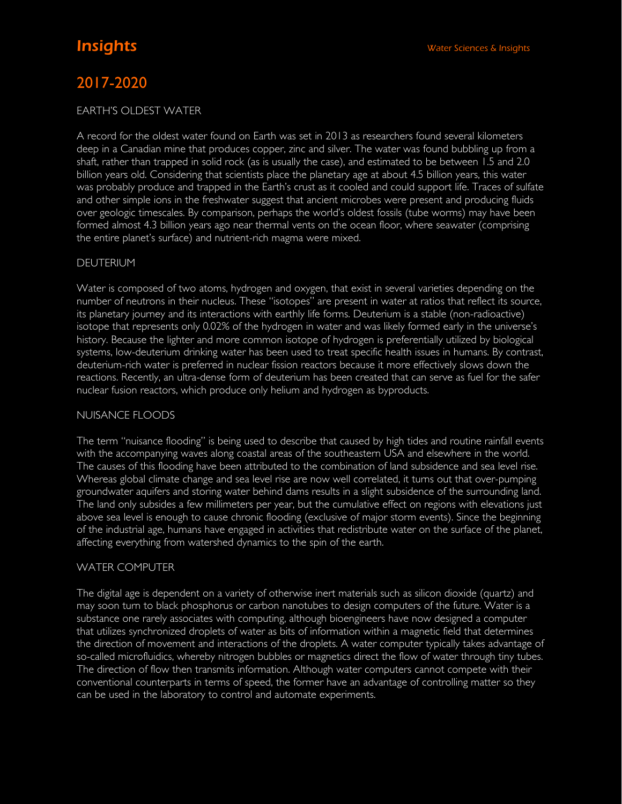# 2017-2020

#### EARTH'S OLDEST WATER

A record for the oldest water found on Earth was set in 2013 as researchers found several kilometers deep in a Canadian mine that produces copper, zinc and silver. The water was found bubbling up from a shaft, rather than trapped in solid rock (as is usually the case), and estimated to be between 1.5 and 2.0 billion years old. Considering that scientists place the planetary age at about 4.5 billion years, this water was probably produce and trapped in the Earth's crust as it cooled and could support life. Traces of sulfate and other simple ions in the freshwater suggest that ancient microbes were present and producing fluids over geologic timescales. By comparison, perhaps the world's oldest fossils (tube worms) may have been formed almost 4.3 billion years ago near thermal vents on the ocean floor, where seawater (comprising the entire planet's surface) and nutrient-rich magma were mixed.

## DEUTERIUM

Water is composed of two atoms, hydrogen and oxygen, that exist in several varieties depending on the number of neutrons in their nucleus. These "isotopes" are present in water at ratios that reflect its source, its planetary journey and its interactions with earthly life forms. Deuterium is a stable (non-radioactive) isotope that represents only 0.02% of the hydrogen in water and was likely formed early in the universe's history. Because the lighter and more common isotope of hydrogen is preferentially utilized by biological systems, low-deuterium drinking water has been used to treat specific health issues in humans. By contrast, deuterium-rich water is preferred in nuclear fission reactors because it more effectively slows down the reactions. Recently, an ultra-dense form of deuterium has been created that can serve as fuel for the safer nuclear fusion reactors, which produce only helium and hydrogen as byproducts.

### NUISANCE FLOODS

The term "nuisance flooding" is being used to describe that caused by high tides and routine rainfall events with the accompanying waves along coastal areas of the southeastern USA and elsewhere in the world. The causes of this flooding have been attributed to the combination of land subsidence and sea level rise. Whereas global climate change and sea level rise are now well correlated, it turns out that over-pumping groundwater aquifers and storing water behind dams results in a slight subsidence of the surrounding land. The land only subsides a few millimeters per year, but the cumulative effect on regions with elevations just above sea level is enough to cause chronic flooding (exclusive of major storm events). Since the beginning of the industrial age, humans have engaged in activities that redistribute water on the surface of the planet, affecting everything from watershed dynamics to the spin of the earth.

### WATER COMPUTER

The digital age is dependent on a variety of otherwise inert materials such as silicon dioxide (quartz) and may soon turn to black phosphorus or carbon nanotubes to design computers of the future. Water is a substance one rarely associates with computing, although bioengineers have now designed a computer that utilizes synchronized droplets of water as bits of information within a magnetic field that determines the direction of movement and interactions of the droplets. A water computer typically takes advantage of so-called microfluidics, whereby nitrogen bubbles or magnetics direct the flow of water through tiny tubes. The direction of flow then transmits information. Although water computers cannot compete with their conventional counterparts in terms of speed, the former have an advantage of controlling matter so they can be used in the laboratory to control and automate experiments.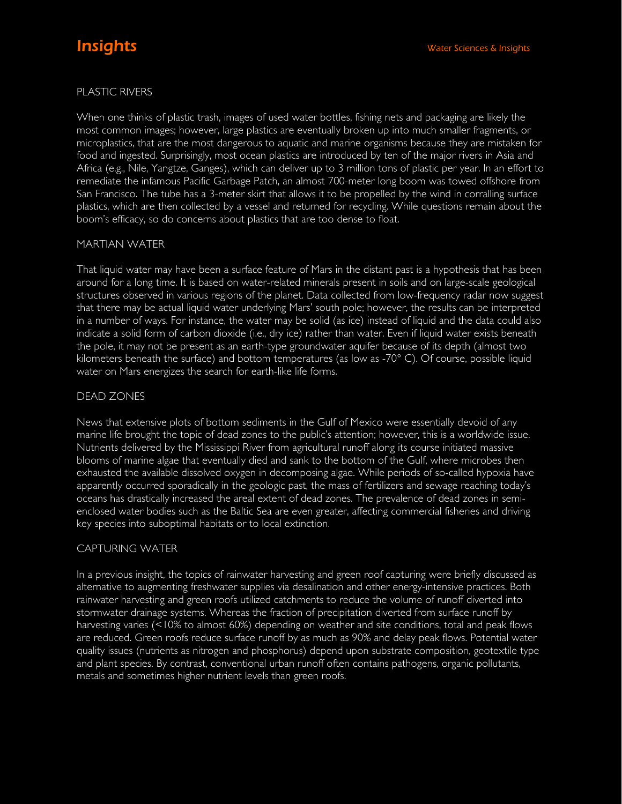# PLASTIC RIVERS

When one thinks of plastic trash, images of used water bottles, fishing nets and packaging are likely the most common images; however, large plastics are eventually broken up into much smaller fragments, or microplastics, that are the most dangerous to aquatic and marine organisms because they are mistaken for food and ingested. Surprisingly, most ocean plastics are introduced by ten of the major rivers in Asia and Africa (e.g., Nile, Yangtze, Ganges), which can deliver up to 3 million tons of plastic per year. In an effort to remediate the infamous Pacific Garbage Patch, an almost 700-meter long boom was towed offshore from San Francisco. The tube has a 3-meter skirt that allows it to be propelled by the wind in corralling surface plastics, which are then collected by a vessel and returned for recycling. While questions remain about the boom's efficacy, so do concerns about plastics that are too dense to float.

### MARTIAN WATER

That liquid water may have been a surface feature of Mars in the distant past is a hypothesis that has been around for a long time. It is based on water-related minerals present in soils and on large-scale geological structures observed in various regions of the planet. Data collected from low-frequency radar now suggest that there may be actual liquid water underlying Mars' south pole; however, the results can be interpreted in a number of ways. For instance, the water may be solid (as ice) instead of liquid and the data could also indicate a solid form of carbon dioxide (i.e., dry ice) rather than water. Even if liquid water exists beneath the pole, it may not be present as an earth-type groundwater aquifer because of its depth (almost two kilometers beneath the surface) and bottom temperatures (as low as -70° C). Of course, possible liquid water on Mars energizes the search for earth-like life forms.

# DEAD ZONES

News that extensive plots of bottom sediments in the Gulf of Mexico were essentially devoid of any marine life brought the topic of dead zones to the public's attention; however, this is a worldwide issue. Nutrients delivered by the Mississippi River from agricultural runoff along its course initiated massive blooms of marine algae that eventually died and sank to the bottom of the Gulf, where microbes then exhausted the available dissolved oxygen in decomposing algae. While periods of so-called hypoxia have apparently occurred sporadically in the geologic past, the mass of fertilizers and sewage reaching today's oceans has drastically increased the areal extent of dead zones. The prevalence of dead zones in semienclosed water bodies such as the Baltic Sea are even greater, affecting commercial fisheries and driving key species into suboptimal habitats or to local extinction.

### CAPTURING WATER

In a previous insight, the topics of rainwater harvesting and green roof capturing were briefly discussed as alternative to augmenting freshwater supplies via desalination and other energy-intensive practices. Both rainwater harvesting and green roofs utilized catchments to reduce the volume of runoff diverted into stormwater drainage systems. Whereas the fraction of precipitation diverted from surface runoff by harvesting varies (<10% to almost 60%) depending on weather and site conditions, total and peak flows are reduced. Green roofs reduce surface runoff by as much as 90% and delay peak flows. Potential water quality issues (nutrients as nitrogen and phosphorus) depend upon substrate composition, geotextile type and plant species. By contrast, conventional urban runoff often contains pathogens, organic pollutants, metals and sometimes higher nutrient levels than green roofs.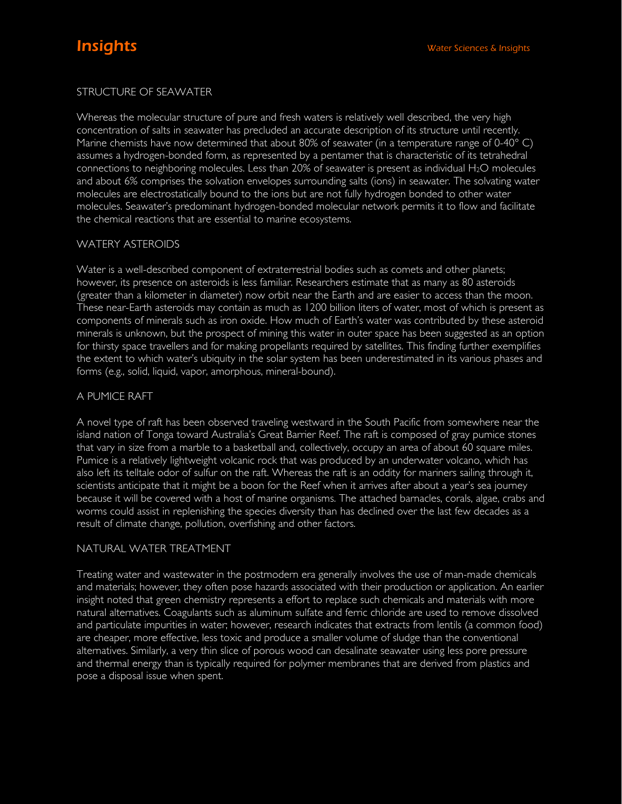# STRUCTURE OF SEAWATER

Whereas the molecular structure of pure and fresh waters is relatively well described, the very high concentration of salts in seawater has precluded an accurate description of its structure until recently. Marine chemists have now determined that about 80% of seawater (in a temperature range of  $0-40^{\circ}$  C) assumes a hydrogen-bonded form, as represented by a pentamer that is characteristic of its tetrahedral connections to neighboring molecules. Less than 20% of seawater is present as individual H2O molecules and about 6% comprises the solvation envelopes surrounding salts (ions) in seawater. The solvating water molecules are electrostatically bound to the ions but are not fully hydrogen bonded to other water molecules. Seawater's predominant hydrogen-bonded molecular network permits it to flow and facilitate the chemical reactions that are essential to marine ecosystems.

### WATERY ASTEROIDS

Water is a well-described component of extraterrestrial bodies such as comets and other planets; however, its presence on asteroids is less familiar. Researchers estimate that as many as 80 asteroids (greater than a kilometer in diameter) now orbit near the Earth and are easier to access than the moon. These near-Earth asteroids may contain as much as 1200 billion liters of water, most of which is present as components of minerals such as iron oxide. How much of Earth's water was contributed by these asteroid minerals is unknown, but the prospect of mining this water in outer space has been suggested as an option for thirsty space travellers and for making propellants required by satellites. This finding further exemplifies the extent to which water's ubiquity in the solar system has been underestimated in its various phases and forms (e.g., solid, liquid, vapor, amorphous, mineral-bound).

### A PUMICE RAFT

A novel type of raft has been observed traveling westward in the South Pacific from somewhere near the island nation of Tonga toward Australia's Great Barrier Reef. The raft is composed of gray pumice stones that vary in size from a marble to a basketball and, collectively, occupy an area of about 60 square miles. Pumice is a relatively lightweight volcanic rock that was produced by an underwater volcano, which has also left its telltale odor of sulfur on the raft. Whereas the raft is an oddity for mariners sailing through it, scientists anticipate that it might be a boon for the Reef when it arrives after about a year's sea journey because it will be covered with a host of marine organisms. The attached barnacles, corals, algae, crabs and worms could assist in replenishing the species diversity than has declined over the last few decades as a result of climate change, pollution, overfishing and other factors.

### NATURAL WATER TREATMENT

Treating water and wastewater in the postmodern era generally involves the use of man-made chemicals and materials; however, they often pose hazards associated with their production or application. An earlier insight noted that green chemistry represents a effort to replace such chemicals and materials with more natural alternatives. Coagulants such as aluminum sulfate and ferric chloride are used to remove dissolved and particulate impurities in water; however, research indicates that extracts from lentils (a common food) are cheaper, more effective, less toxic and produce a smaller volume of sludge than the conventional alternatives. Similarly, a very thin slice of porous wood can desalinate seawater using less pore pressure and thermal energy than is typically required for polymer membranes that are derived from plastics and pose a disposal issue when spent.